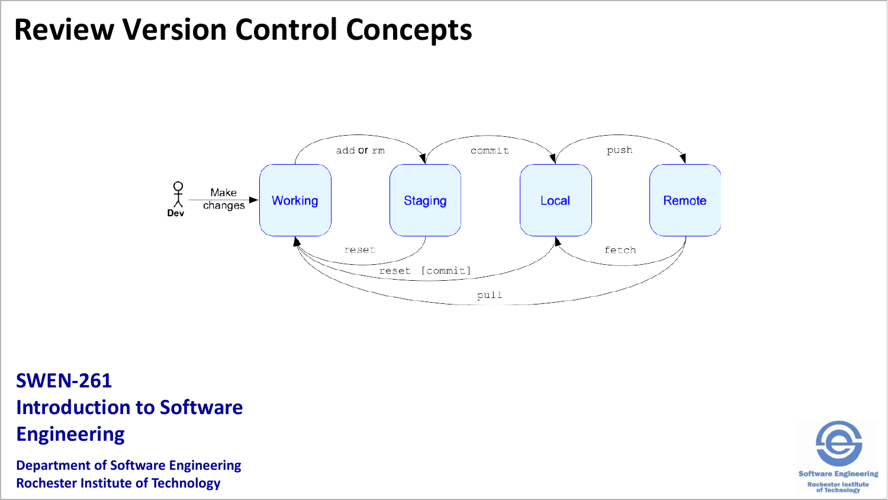# **Review Version Control Concepts**



# **SWEN-261 Introduction to Software**

**Engineering**

**Department of Software Engineering Rochester Institute of Technology**

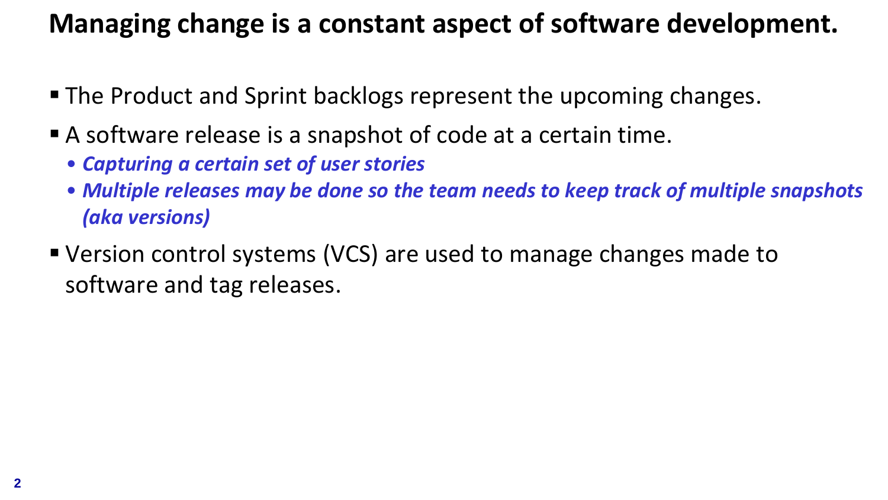#### **Managing change is a constant aspect of software development.**

- The Product and Sprint backlogs represent the upcoming changes.
- A software release is a snapshot of code at a certain time.
	- *Capturing a certain set of user stories*
	- *Multiple releases may be done so the team needs to keep track of multiple snapshots (aka versions)*
- Version control systems (VCS) are used to manage changes made to software and tag releases.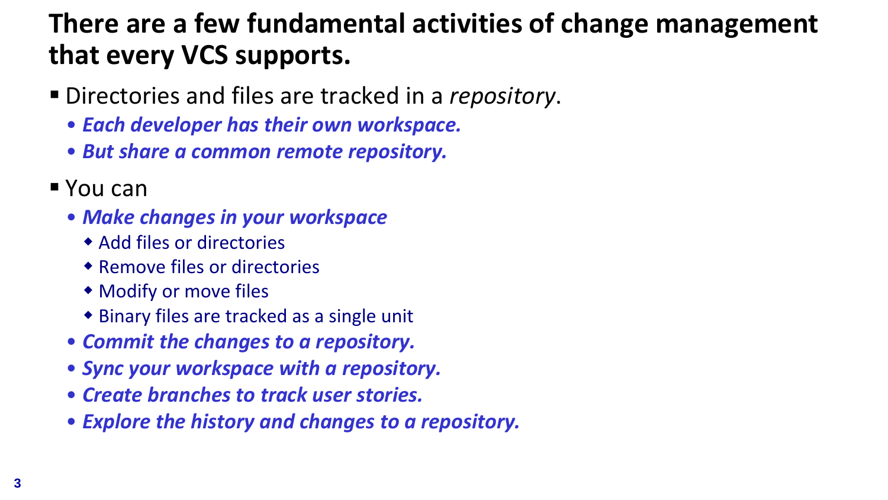# **There are a few fundamental activities of change management that every VCS supports.**

- Directories and files are tracked in a *repository*.
	- *Each developer has their own workspace.*
	- *But share a common remote repository.*
- You can
	- *Make changes in your workspace*
		- Add files or directories
		- Remove files or directories
		- Modify or move files
		- Binary files are tracked as a single unit
	- *Commit the changes to a repository.*
	- *Sync your workspace with a repository.*
	- *Create branches to track user stories.*
	- *Explore the history and changes to a repository.*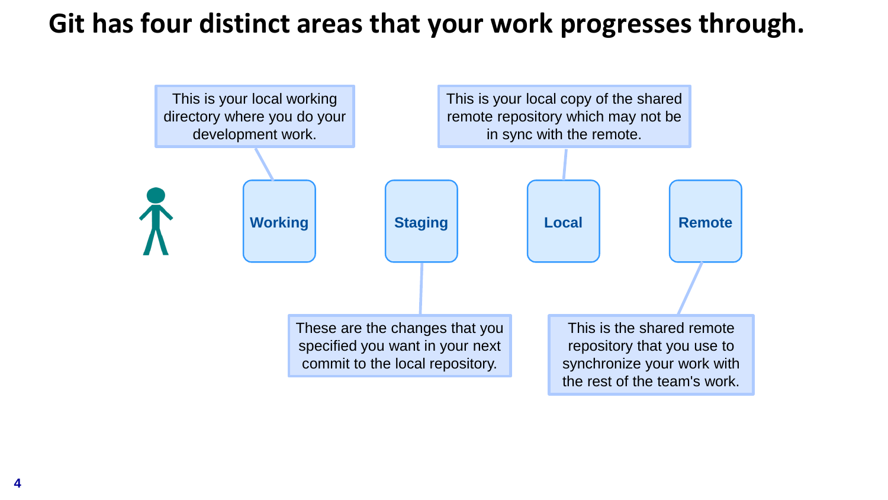#### **Git has four distinct areas that your work progresses through.**

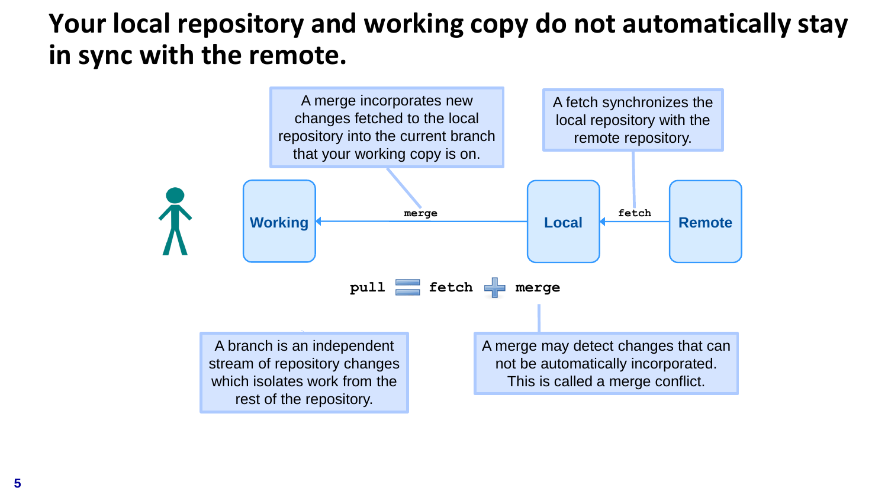#### **Your local repository and working copy do not automatically stay in sync with the remote.**

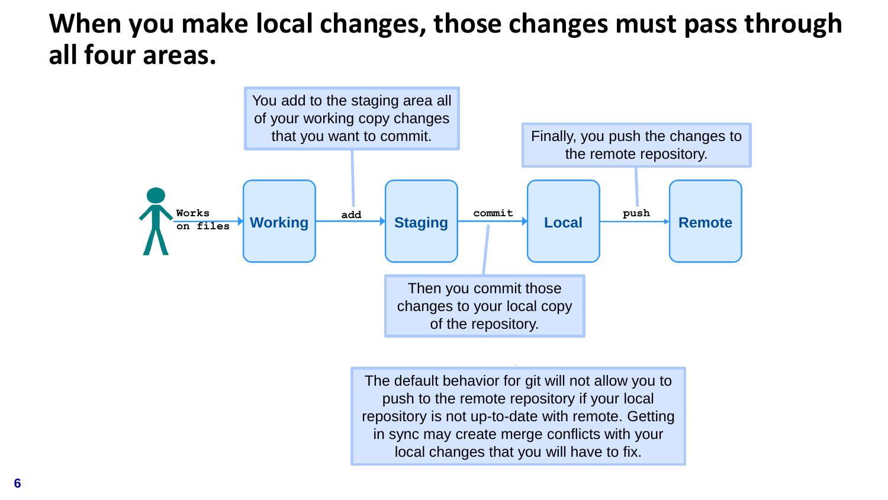#### **When you make local changes, those changes must pass through all four areas.**



The default behavior for git will not allow you to push to the remote repository if your local repository is not up-to-date with remote. Getting in sync may create merge conflicts with your local changes that you will have to fix.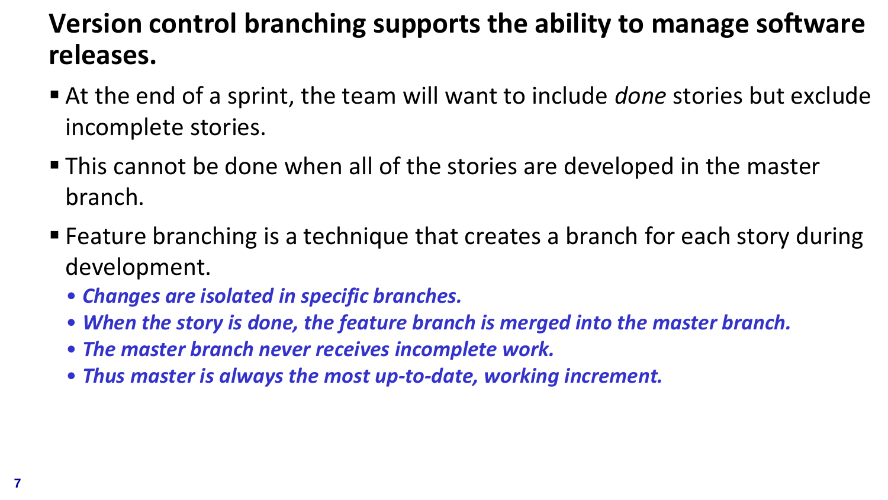# **Version control branching supports the ability to manage software releases.**

- At the end of a sprint, the team will want to include *done* stories but exclude incomplete stories.
- This cannot be done when all of the stories are developed in the master branch.
- Feature branching is a technique that creates a branch for each story during development.
	- *Changes are isolated in specific branches.*
	- *When the story is done, the feature branch is merged into the master branch.*
	- *The master branch never receives incomplete work.*
	- *Thus master is always the most up-to-date, working increment.*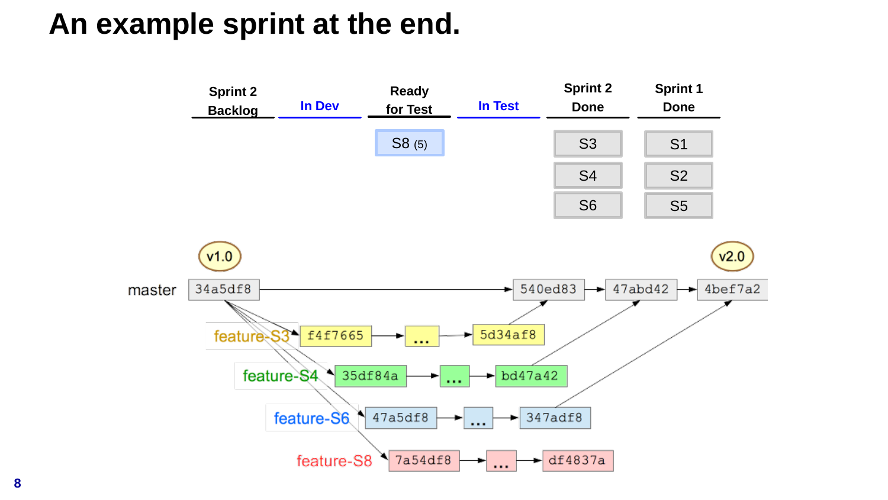# **An example sprint at the end.**

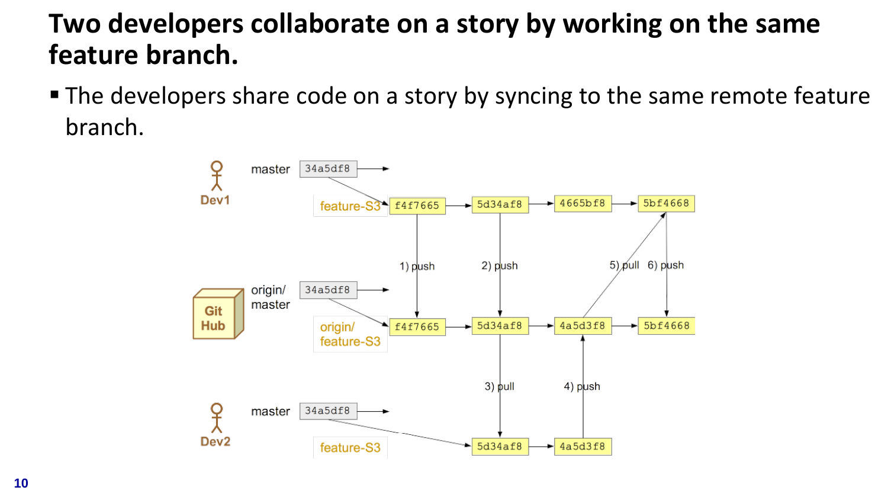# **Two developers collaborate on a story by working on the same feature branch.**

■ The developers share code on a story by syncing to the same remote feature branch.

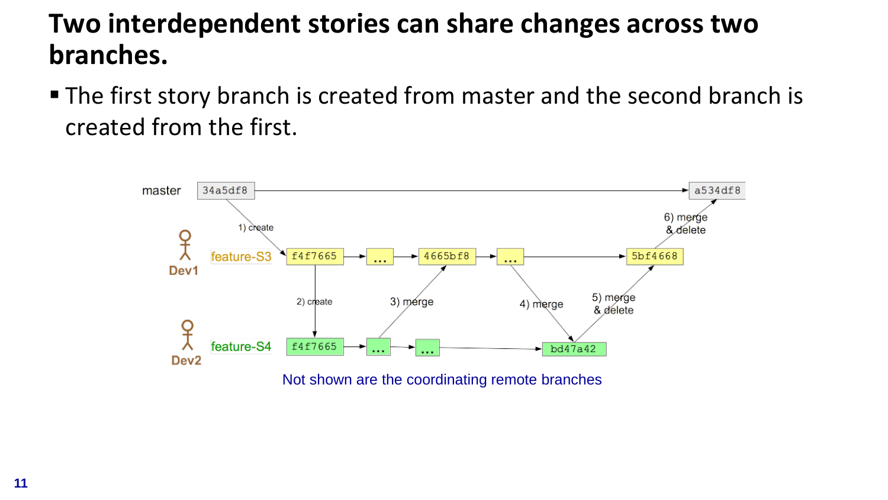#### **Two interdependent stories can share changes across two branches.**

■ The first story branch is created from master and the second branch is created from the first.

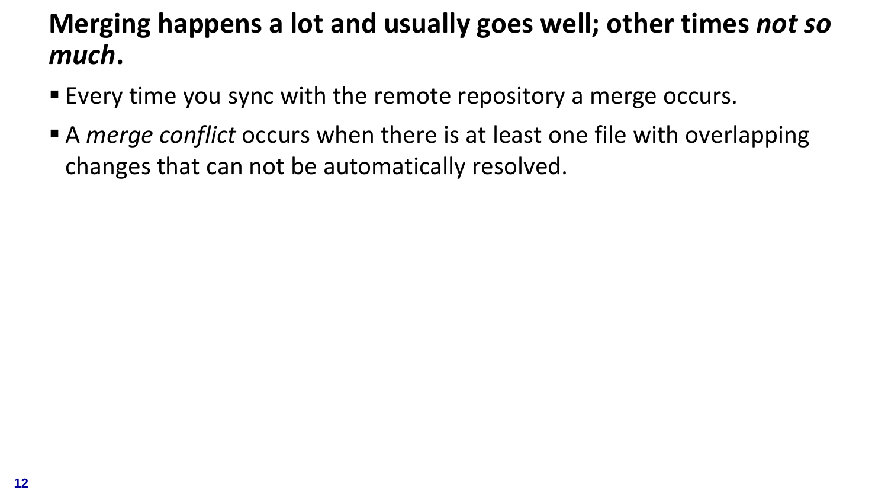# **Merging happens a lot and usually goes well; other times** *not so much***.**

- Every time you sync with the remote repository a merge occurs.
- A *merge conflict* occurs when there is at least one file with overlapping changes that can not be automatically resolved.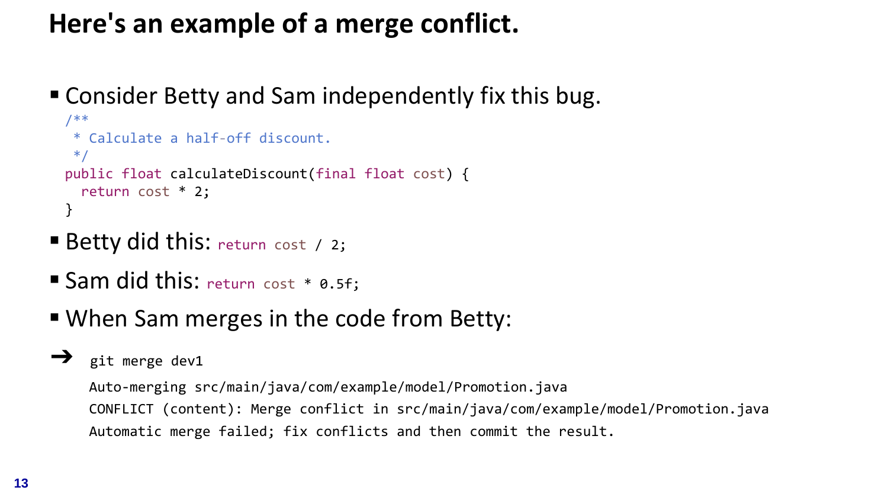# **Here's an example of a merge conflict.**

■ Consider Betty and Sam independently fix this bug.

```
/**
* Calculate a half-off discount.
*/
public float calculateDiscount(final float cost) {
 return cost * 2;
}
```
- **Betty did this:** return cost / 2;
- Sam did this: return cost \* 0.5f;
- When Sam merges in the code from Betty:

#### ➔ git merge dev1

Auto-merging src/main/java/com/example/model/Promotion.java CONFLICT (content): Merge conflict in src/main/java/com/example/model/Promotion.java Automatic merge failed; fix conflicts and then commit the result.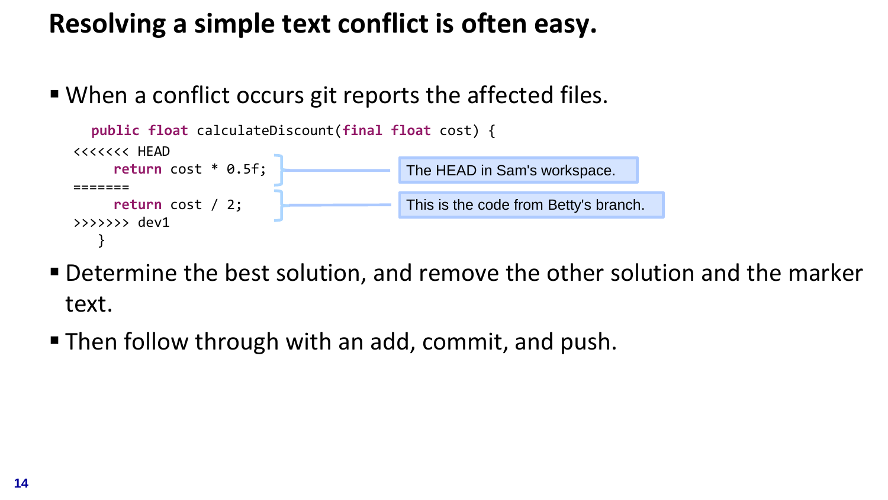# **Resolving a simple text conflict is often easy.**

■ When a conflict occurs git reports the affected files.



- Determine the best solution, and remove the other solution and the marker text.
- Then follow through with an add, commit, and push.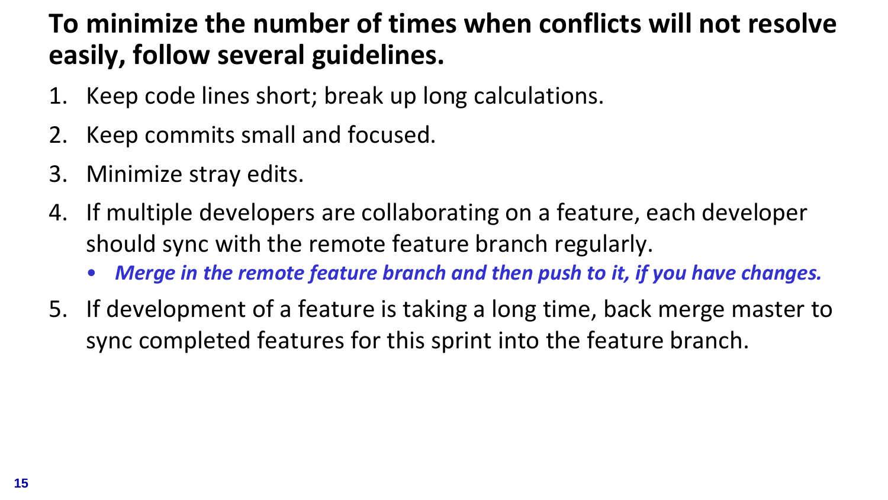# **To minimize the number of times when conflicts will not resolve easily, follow several guidelines.**

- 1. Keep code lines short; break up long calculations.
- 2. Keep commits small and focused.
- 3. Minimize stray edits.
- 4. If multiple developers are collaborating on a feature, each developer should sync with the remote feature branch regularly.
	- *Merge in the remote feature branch and then push to it, if you have changes.*
- 5. If development of a feature is taking a long time, back merge master to sync completed features for this sprint into the feature branch.